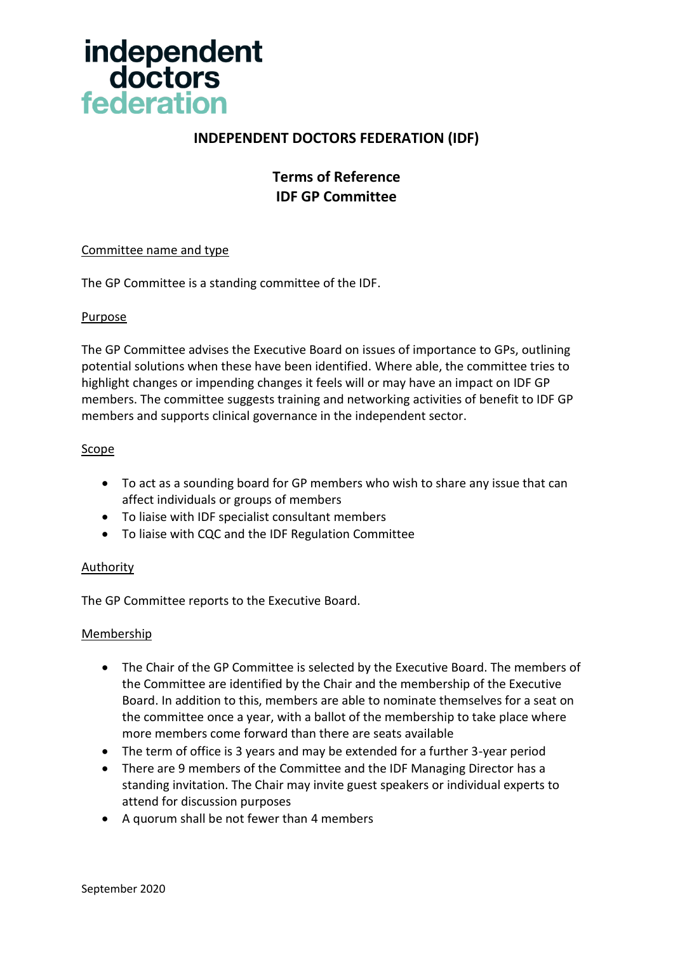

# **INDEPENDENT DOCTORS FEDERATION (IDF)**

# **Terms of Reference IDF GP Committee**

#### Committee name and type

The GP Committee is a standing committee of the IDF.

## Purpose

The GP Committee advises the Executive Board on issues of importance to GPs, outlining potential solutions when these have been identified. Where able, the committee tries to highlight changes or impending changes it feels will or may have an impact on IDF GP members. The committee suggests training and networking activities of benefit to IDF GP members and supports clinical governance in the independent sector.

## Scope

- To act as a sounding board for GP members who wish to share any issue that can affect individuals or groups of members
- To liaise with IDF specialist consultant members
- To liaise with CQC and the IDF Regulation Committee

## Authority

The GP Committee reports to the Executive Board.

#### **Membership**

- The Chair of the GP Committee is selected by the Executive Board. The members of the Committee are identified by the Chair and the membership of the Executive Board. In addition to this, members are able to nominate themselves for a seat on the committee once a year, with a ballot of the membership to take place where more members come forward than there are seats available
- The term of office is 3 years and may be extended for a further 3-year period
- There are 9 members of the Committee and the IDF Managing Director has a standing invitation. The Chair may invite guest speakers or individual experts to attend for discussion purposes
- A quorum shall be not fewer than 4 members